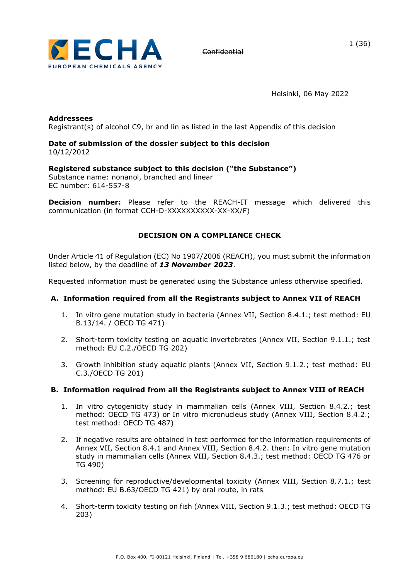

Helsinki, 06 May 2022

#### **Addressees**

Registrant(s) of alcohol C9, br and lin as listed in the last Appendix of this decision

# **Date of submission of the dossier subject to this decision**

10/12/2012

# **Registered substance subject to this decision ("the Substance")**

Substance name: nonanol, branched and linear EC number: 614-557-8

**Decision number:** Please refer to the REACH-IT message which delivered this communication (in format CCH-D-XXXXXXXXXX-XX-XX/F)

# **DECISION ON A COMPLIANCE CHECK**

Under Article 41 of Regulation (EC) No 1907/2006 (REACH), you must submit the information listed below, by the deadline of *13 November 2023*.

Requested information must be generated using the Substance unless otherwise specified.

# **A. Information required from all the Registrants subject to Annex VII of REACH**

- 1. In vitro gene mutation study in bacteria (Annex VII, Section 8.4.1.; test method: EU B.13/14. / OECD TG 471)
- 2. Short-term toxicity testing on aquatic invertebrates (Annex VII, Section 9.1.1.; test method: EU C.2./OECD TG 202)
- 3. Growth inhibition study aquatic plants (Annex VII, Section 9.1.2.; test method: EU C.3./OECD TG 201)

# **B. Information required from all the Registrants subject to Annex VIII of REACH**

- 1. In vitro cytogenicity study in mammalian cells (Annex VIII, Section 8.4.2.; test method: OECD TG 473) or In vitro micronucleus study (Annex VIII, Section 8.4.2.; test method: OECD TG 487)
- 2. If negative results are obtained in test performed for the information requirements of Annex VII, Section 8.4.1 and Annex VIII, Section 8.4.2. then: In vitro gene mutation study in mammalian cells (Annex VIII, Section 8.4.3.; test method: OECD TG 476 or TG 490)
- 3. Screening for reproductive/developmental toxicity (Annex VIII, Section 8.7.1.; test method: EU B.63/OECD TG 421) by oral route, in rats
- 4. Short-term toxicity testing on fish (Annex VIII, Section 9.1.3.; test method: OECD TG 203)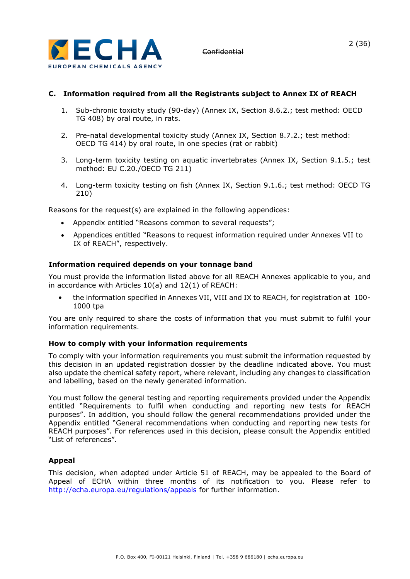

#### **C. Information required from all the Registrants subject to Annex IX of REACH**

- 1. Sub-chronic toxicity study (90-day) (Annex IX, Section 8.6.2.; test method: OECD TG 408) by oral route, in rats.
- 2. Pre-natal developmental toxicity study (Annex IX, Section 8.7.2.; test method: OECD TG 414) by oral route, in one species (rat or rabbit)
- 3. Long-term toxicity testing on aquatic invertebrates (Annex IX, Section 9.1.5.; test method: EU C.20./OECD TG 211)
- 4. Long-term toxicity testing on fish (Annex IX, Section 9.1.6.; test method: OECD TG 210)

Reasons for the request(s) are explained in the following appendices:

- Appendix entitled "Reasons common to several requests";
- Appendices entitled "Reasons to request information required under Annexes VII to IX of REACH", respectively.

#### **Information required depends on your tonnage band**

You must provide the information listed above for all REACH Annexes applicable to you, and in accordance with Articles 10(a) and 12(1) of REACH:

• the information specified in Annexes VII, VIII and IX to REACH, for registration at 100- 1000 tpa

You are only required to share the costs of information that you must submit to fulfil your information requirements.

#### **How to comply with your information requirements**

To comply with your information requirements you must submit the information requested by this decision in an updated registration dossier by the deadline indicated above. You must also update the chemical safety report, where relevant, including any changes to classification and labelling, based on the newly generated information.

You must follow the general testing and reporting requirements provided under the Appendix entitled "Requirements to fulfil when conducting and reporting new tests for REACH purposes". In addition, you should follow the general recommendations provided under the Appendix entitled "General recommendations when conducting and reporting new tests for REACH purposes". For references used in this decision, please consult the Appendix entitled "List of references".

#### **Appeal**

This decision, when adopted under Article 51 of REACH, may be appealed to the Board of Appeal of ECHA within three months of its notification to you. Please refer to <http://echa.europa.eu/regulations/appeals> for further information.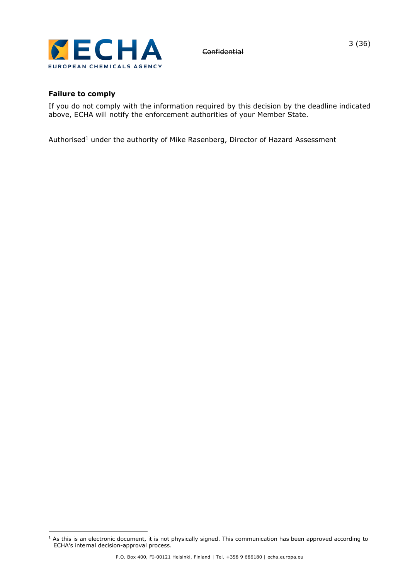

# **Failure to comply**

If you do not comply with the information required by this decision by the deadline indicated above, ECHA will notify the enforcement authorities of your Member State.

Authorised<sup>1</sup> under the authority of Mike Rasenberg, Director of Hazard Assessment

 $1$  As this is an electronic document, it is not physically signed. This communication has been approved according to ECHA's internal decision-approval process.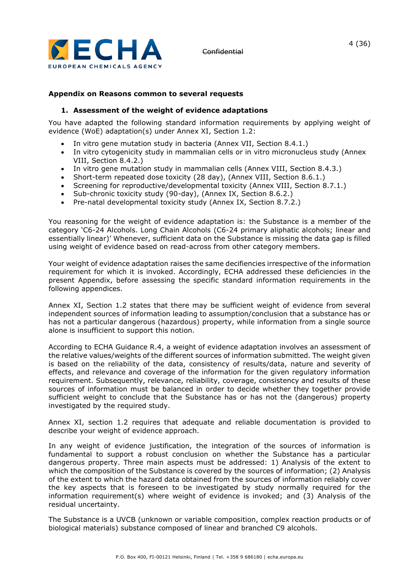

#### **Appendix on Reasons common to several requests**

#### **1. Assessment of the weight of evidence adaptations**

You have adapted the following standard information requirements by applying weight of evidence (WoE) adaptation(s) under Annex XI, Section 1.2:

- In vitro gene mutation study in bacteria (Annex VII, Section 8.4.1.)
- In vitro cytogenicity study in mammalian cells or in vitro micronucleus study (Annex VIII, Section 8.4.2.)
- In vitro gene mutation study in mammalian cells (Annex VIII, Section 8.4.3.)
- Short-term repeated dose toxicity (28 day), (Annex VIII, Section 8.6.1.)
- Screening for reproductive/developmental toxicity (Annex VIII, Section 8.7.1.)
- Sub-chronic toxicity study (90-day), (Annex IX, Section 8.6.2.)
- Pre-natal developmental toxicity study (Annex IX, Section 8.7.2.)

You reasoning for the weight of evidence adaptation is: the Substance is a member of the category 'C6-24 Alcohols. Long Chain Alcohols (C6-24 primary aliphatic alcohols; linear and essentially linear)' Whenever, sufficient data on the Substance is missing the data gap is filled using weight of evidence based on read-across from other category members.

Your weight of evidence adaptation raises the same decifiencies irrespective of the information requirement for which it is invoked. Accordingly, ECHA addressed these deficiencies in the present Appendix, before assessing the specific standard information requirements in the following appendices.

Annex XI, Section 1.2 states that there may be sufficient weight of evidence from several independent sources of information leading to assumption/conclusion that a substance has or has not a particular dangerous (hazardous) property, while information from a single source alone is insufficient to support this notion.

According to ECHA Guidance R.4, a weight of evidence adaptation involves an assessment of the relative values/weights of the different sources of information submitted. The weight given is based on the reliability of the data, consistency of results/data, nature and severity of effects, and relevance and coverage of the information for the given regulatory information requirement. Subsequently, relevance, reliability, coverage, consistency and results of these sources of information must be balanced in order to decide whether they together provide sufficient weight to conclude that the Substance has or has not the (dangerous) property investigated by the required study.

Annex XI, section 1.2 requires that adequate and reliable documentation is provided to describe your weight of evidence approach.

In any weight of evidence justification, the integration of the sources of information is fundamental to support a robust conclusion on whether the Substance has a particular dangerous property. Three main aspects must be addressed: 1) Analysis of the extent to which the composition of the Substance is covered by the sources of information; (2) Analysis of the extent to which the hazard data obtained from the sources of information reliably cover the key aspects that is foreseen to be investigated by study normally required for the information requirement(s) where weight of evidence is invoked; and (3) Analysis of the residual uncertainty.

The Substance is a UVCB (unknown or variable composition, complex reaction products or of biological materials) substance composed of linear and branched C9 alcohols.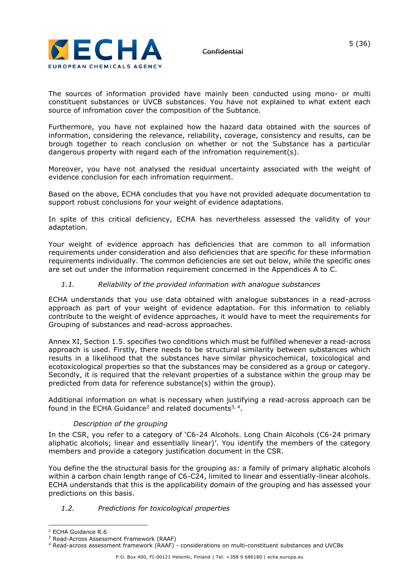

The sources of information provided have mainly been conducted using mono- or multi constituent substances or UVCB substances. You have not explained to what extent each source of infromation cover the composition of the Subtance.

Furthermore, you have not explained how the hazard data obtained with the sources of information, considering the relevance, reliability, coverage, consistency and results, can be brough together to reach conclusion on whether or not the Substance has a particular dangerous property with regard each of the infromation requirement(s).

Moreover, you have not analysed the residual uncertainty associated with the weight of evidence conclusion for each infromation requirment.

Based on the above, ECHA concludes that you have not provided adequate documentation to support robust conclusions for your weight of evidence adaptations.

In spite of this critical deficiency, ECHA has nevertheless assessed the validity of your adaptation.

Your weight of evidence approach has deficiencies that are common to all information requirements under consideration and also deficiencies that are specific for these information requirements individually. The common deficiencies are set out below, while the specific ones are set out under the information requirement concerned in the Appendices A to C.

#### *1.1. Reliability of the provided information with analogue substances*

ECHA understands that you use data obtained with analogue substances in a read-across approach as part of your weight of evidence adaptation. For this information to reliably contribute to the weight of evidence approaches, it would have to meet the requirements for Grouping of substances and read-across approaches.

Annex XI, Section 1.5. specifies two conditions which must be fulfilled whenever a read-across approach is used. Firstly, there needs to be structural similarity between substances which results in a likelihood that the substances have similar physicochemical, toxicological and ecotoxicological properties so that the substances may be considered as a group or category. Secondly, it is required that the relevant properties of a substance within the group may be predicted from data for reference substance(s) within the group).

Additional information on what is necessary when justifying a read-across approach can be found in the ECHA Guidance<sup>2</sup> and related documents<sup>3, 4</sup>.

# *Description of the grouping*

In the CSR, you refer to a category of 'C6-24 Alcohols. Long Chain Alcohols (C6-24 primary aliphatic alcohols; linear and essentially linear)'. You identify the members of the category members and provide a category justification document in the CSR.

You define the the structural basis for the grouping as: a family of primary aliphatic alcohols within a carbon chain length range of C6-C24, limited to linear and essentially-linear alcohols. ECHA understands that this is the applicability domain of the grouping and has assessed your predictions on this basis.

# *1.2. Predictions for toxicological properties*

<sup>2</sup> ECHA Guidance R.6

<sup>3</sup> Read-Across Assessment Framework (RAAF)

<sup>4</sup> Read-across assessment framework (RAAF) - considerations on multi-constituent substances and UVCBs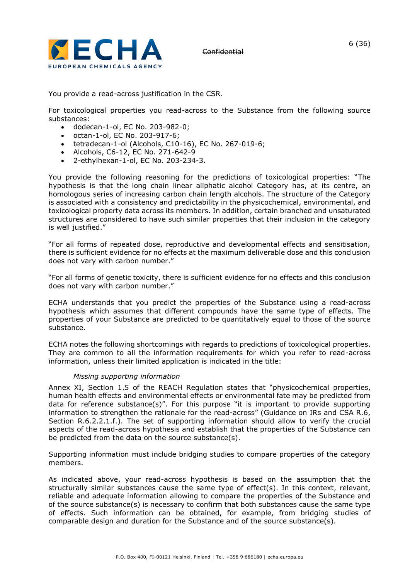

You provide a read-across justification in the CSR.

For toxicological properties you read-across to the Substance from the following source substances:

- dodecan-1-ol, EC No. 203-982-0;
- octan-1-ol, EC No. 203-917-6;
- tetradecan-1-ol (Alcohols, C10-16), EC No. 267-019-6;
- Alcohols, C6-12, EC No. 271-642-9
- 2-ethylhexan-1-ol, EC No. 203-234-3.

You provide the following reasoning for the predictions of toxicological properties: "The hypothesis is that the long chain linear aliphatic alcohol Category has, at its centre, an homologous series of increasing carbon chain length alcohols. The structure of the Category is associated with a consistency and predictability in the physicochemical, environmental, and toxicological property data across its members. In addition, certain branched and unsaturated structures are considered to have such similar properties that their inclusion in the category is well justified."

"For all forms of repeated dose, reproductive and developmental effects and sensitisation, there is sufficient evidence for no effects at the maximum deliverable dose and this conclusion does not vary with carbon number."

"For all forms of genetic toxicity, there is sufficient evidence for no effects and this conclusion does not vary with carbon number."

ECHA understands that you predict the properties of the Substance using a read-across hypothesis which assumes that different compounds have the same type of effects. The properties of your Substance are predicted to be quantitatively equal to those of the source substance.

ECHA notes the following shortcomings with regards to predictions of toxicological properties. They are common to all the information requirements for which you refer to read-across information, unless their limited application is indicated in the title:

#### *Missing supporting information*

Annex XI, Section 1.5 of the REACH Regulation states that "physicochemical properties, human health effects and environmental effects or environmental fate may be predicted from data for reference substance(s)". For this purpose "it is important to provide supporting information to strengthen the rationale for the read-across" (Guidance on IRs and CSA R.6, Section R.6.2.2.1.f.). The set of supporting information should allow to verify the crucial aspects of the read-across hypothesis and establish that the properties of the Substance can be predicted from the data on the source substance(s).

Supporting information must include bridging studies to compare properties of the category members.

As indicated above, your read-across hypothesis is based on the assumption that the structurally similar substances cause the same type of effect(s). In this context, relevant, reliable and adequate information allowing to compare the properties of the Substance and of the source substance(s) is necessary to confirm that both substances cause the same type of effects. Such information can be obtained, for example, from bridging studies of comparable design and duration for the Substance and of the source substance(s).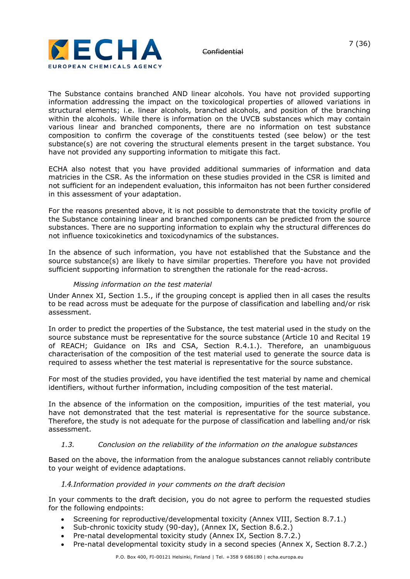

The Substance contains branched AND linear alcohols. You have not provided supporting information addressing the impact on the toxicological properties of allowed variations in structural elements; i.e. linear alcohols, branched alcohols, and position of the branching within the alcohols. While there is information on the UVCB substances which may contain various linear and branched components, there are no information on test substance composition to confirm the coverage of the constituents tested (see below) or the test substance(s) are not covering the structural elements present in the target substance. You have not provided any supporting information to mitigate this fact.

ECHA also notest that you have provided additional summaries of information and data matricies in the CSR. As the information on these studies provided in the CSR is limited and not sufficient for an independent evaluation, this informaiton has not been further considered in this assessment of your adaptation.

For the reasons presented above, it is not possible to demonstrate that the toxicity profile of the Substance containing linear and branched components can be predicted from the source substances. There are no supporting information to explain why the structural differences do not influence toxicokinetics and toxicodynamics of the substances.

In the absence of such information, you have not established that the Substance and the source substance(s) are likely to have similar properties. Therefore you have not provided sufficient supporting information to strengthen the rationale for the read-across.

#### *Missing information on the test material*

Under Annex XI, Section 1.5., if the grouping concept is applied then in all cases the results to be read across must be adequate for the purpose of classification and labelling and/or risk assessment.

In order to predict the properties of the Substance, the test material used in the study on the source substance must be representative for the source substance (Article 10 and Recital 19 of REACH; Guidance on IRs and CSA, Section R.4.1.). Therefore, an unambiguous characterisation of the composition of the test material used to generate the source data is required to assess whether the test material is representative for the source substance.

For most of the studies provided, you have identified the test material by name and chemical identifiers, without further information, including composition of the test material.

In the absence of the information on the composition, impurities of the test material, you have not demonstrated that the test material is representative for the source substance. Therefore, the study is not adequate for the purpose of classification and labelling and/or risk assessment.

#### *1.3. Conclusion on the reliability of the information on the analogue substances*

Based on the above, the information from the analogue substances cannot reliably contribute to your weight of evidence adaptations.

#### *1.4.Information provided in your comments on the draft decision*

In your comments to the draft decision, you do not agree to perform the requested studies for the following endpoints:

- Screening for reproductive/developmental toxicity (Annex VIII, Section 8.7.1.)
- Sub-chronic toxicity study (90-day), (Annex IX, Section 8.6.2.)
- Pre-natal developmental toxicity study (Annex IX, Section 8.7.2.)
- Pre-natal developmental toxicity study in a second species (Annex X, Section 8.7.2.)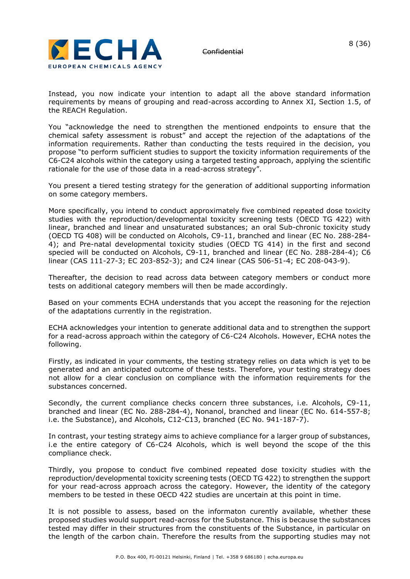

Instead, you now indicate your intention to adapt all the above standard information requirements by means of grouping and read-across according to Annex XI, Section 1.5, of the REACH Regulation.

You "acknowledge the need to strengthen the mentioned endpoints to ensure that the chemical safety assessment is robust" and accept the rejection of the adaptations of the information requirements. Rather than conducting the tests required in the decision, you propose "to perform sufficient studies to support the toxicity information requirements of the C6-C24 alcohols within the category using a targeted testing approach, applying the scientific rationale for the use of those data in a read-across strategy".

You present a tiered testing strategy for the generation of additional supporting information on some category members.

More specifically, you intend to conduct approximately five combined repeated dose toxicity studies with the reproduction/developmental toxicity screening tests (OECD TG 422) with linear, branched and linear and unsaturated substances; an oral Sub-chronic toxicity study (OECD TG 408) will be conducted on Alcohols, C9-11, branched and linear (EC No. 288-284- 4); and Pre-natal developmental toxicity studies (OECD TG 414) in the first and second specied will be conducted on Alcohols, C9-11, branched and linear (EC No. 288-284-4); C6 linear (CAS 111-27-3; EC 203-852-3); and C24 linear (CAS 506-51-4; EC 208-043-9).

Thereafter, the decision to read across data between category members or conduct more tests on additional category members will then be made accordingly.

Based on your comments ECHA understands that you accept the reasoning for the rejection of the adaptations currently in the registration.

ECHA acknowledges your intention to generate additional data and to strengthen the support for a read-across approach within the category of C6-C24 Alcohols. However, ECHA notes the following.

Firstly, as indicated in your comments, the testing strategy relies on data which is yet to be generated and an anticipated outcome of these tests. Therefore, your testing strategy does not allow for a clear conclusion on compliance with the information requirements for the substances concerned.

Secondly, the current compliance checks concern three substances, i.e. Alcohols, C9-11, branched and linear (EC No. 288-284-4), Nonanol, branched and linear (EC No. 614-557-8; i.e. the Substance), and Alcohols, C12-C13, branched (EC No. 941-187-7).

In contrast, your testing strategy aims to achieve compliance for a larger group of substances, i.e the entire category of C6-C24 Alcohols, which is well beyond the scope of the this compliance check.

Thirdly, you propose to conduct five combined repeated dose toxicity studies with the reproduction/developmental toxicity screening tests (OECD TG 422) to strengthen the support for your read-across approach across the category. However, the identity of the category members to be tested in these OECD 422 studies are uncertain at this point in time.

It is not possible to assess, based on the informaton curently available, whether these proposed studies would support read-across for the Substance. This is because the substances tested may differ in their structures from the constituents of the Substance, in particular on the length of the carbon chain. Therefore the results from the supporting studies may not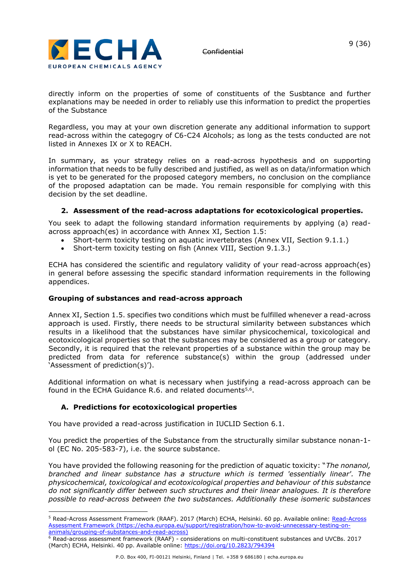

directly inform on the properties of some of constituents of the Susbtance and further explanations may be needed in order to reliably use this information to predict the properties of the Substance

Regardless, you may at your own discretion generate any additional information to support read-across within the categogry of C6-C24 Alcohols; as long as the tests conducted are not listed in Annexes IX or X to REACH.

In summary, as your strategy relies on a read-across hypothesis and on supporting information that needs to be fully described and justified, as well as on data/information which is yet to be generated for the proposed category members, no conclusion on the compliance of the proposed adaptation can be made. You remain responsible for complying with this decision by the set deadline.

# **2. Assessment of the read-across adaptations for ecotoxicological properties.**

You seek to adapt the following standard information requirements by applying (a) readacross approach(es) in accordance with Annex XI, Section 1.5:

- Short-term toxicity testing on aquatic invertebrates (Annex VII, Section 9.1.1.)
- Short-term toxicity testing on fish (Annex VIII, Section 9.1.3.)

ECHA has considered the scientific and regulatory validity of your read-across approach(es) in general before assessing the specific standard information requirements in the following appendices.

#### **Grouping of substances and read-across approach**

Annex XI, Section 1.5. specifies two conditions which must be fulfilled whenever a read-across approach is used. Firstly, there needs to be structural similarity between substances which results in a likelihood that the substances have similar physicochemical, toxicological and ecotoxicological properties so that the substances may be considered as a group or category. Secondly, it is required that the relevant properties of a substance within the group may be predicted from data for reference substance(s) within the group (addressed under 'Assessment of prediction(s)').

Additional information on what is necessary when justifying a read-across approach can be found in the ECHA Guidance R.6. and related documents<sup>5,6</sup>.

# **A. Predictions for ecotoxicological properties**

You have provided a read-across justification in IUCLID Section 6.1.

You predict the properties of the Substance from the structurally similar substance nonan-1 ol (EC No. 205-583-7), i.e. the source substance.

You have provided the following reasoning for the prediction of aquatic toxicity: "*The nonanol, branched and linear substance has a structure which is termed 'essentially linear'. The physicochemical, toxicological and ecotoxicological properties and behaviour of this substance do not significantly differ between such structures and their linear analogues. It is therefore possible to read-across between the two substances. Additionally these isomeric substances* 

<sup>&</sup>lt;sup>5</sup> [Read-Across](https://echa.europa.eu/support/registration/how-to-avoid-unnecessary-testing-on-animals/grouping-of-substances-and-read-across) Assessment Framework (RAAF). 2017 (March) ECHA, Helsinki. 60 pp. Available online: Read-Across [Assessment Framework](https://echa.europa.eu/support/registration/how-to-avoid-unnecessary-testing-on-animals/grouping-of-substances-and-read-across) [\(https://echa.europa.eu/support/registration/how-to-avoid-unnecessary-testing-on](https://echa.europa.eu/support/registration/how-to-avoid-unnecessary-testing-on-animals/grouping-of-substances-and-read-across)[animals/grouping-of-substances-and-read-across\)](https://echa.europa.eu/support/registration/how-to-avoid-unnecessary-testing-on-animals/grouping-of-substances-and-read-across)

<sup>6</sup> Read-across assessment framework (RAAF) - considerations on multi-constituent substances and UVCBs. 2017 (March) ECHA, Helsinki. 40 pp. Available online:<https://doi.org/10.2823/794394>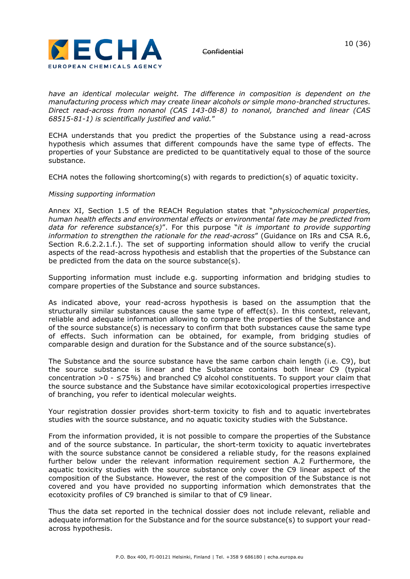

*have an identical molecular weight. The difference in composition is dependent on the manufacturing process which may create linear alcohols or simple mono-branched structures. Direct read-across from nonanol (CAS 143-08-8) to nonanol, branched and linear (CAS 68515-81-1) is scientifically justified and valid.*"

ECHA understands that you predict the properties of the Substance using a read-across hypothesis which assumes that different compounds have the same type of effects. The properties of your Substance are predicted to be quantitatively equal to those of the source substance.

ECHA notes the following shortcoming(s) with regards to prediction(s) of aquatic toxicity.

#### *Missing supporting information*

Annex XI, Section 1.5 of the REACH Regulation states that "*physicochemical properties, human health effects and environmental effects or environmental fate may be predicted from data for reference substance(s)*". For this purpose "*it is important to provide supporting information to strengthen the rationale for the read-across*" (Guidance on IRs and CSA R.6, Section R.6.2.2.1.f.). The set of supporting information should allow to verify the crucial aspects of the read-across hypothesis and establish that the properties of the Substance can be predicted from the data on the source substance(s).

Supporting information must include e.g. supporting information and bridging studies to compare properties of the Substance and source substances.

As indicated above, your read-across hypothesis is based on the assumption that the structurally similar substances cause the same type of effect(s). In this context, relevant, reliable and adequate information allowing to compare the properties of the Substance and of the source substance(s) is necessary to confirm that both substances cause the same type of effects. Such information can be obtained, for example, from bridging studies of comparable design and duration for the Substance and of the source substance(s).

The Substance and the source substance have the same carbon chain length (i.e. C9), but the source substance is linear and the Substance contains both linear C9 (typical concentration >0 -  $\leq$ 75%) and branched C9 alcohol constituents. To support your claim that the source substance and the Substance have similar ecotoxicological properties irrespective of branching, you refer to identical molecular weights.

Your registration dossier provides short-term toxicity to fish and to aquatic invertebrates studies with the source substance, and no aquatic toxicity studies with the Substance.

From the information provided, it is not possible to compare the properties of the Substance and of the source substance. In particular, the short-term toxicity to aquatic invertebrates with the source substance cannot be considered a reliable study, for the reasons explained further below under the relevant information requirement section A.2 Furthermore, the aquatic toxicity studies with the source substance only cover the C9 linear aspect of the composition of the Substance. However, the rest of the composition of the Substance is not covered and you have provided no supporting information which demonstrates that the ecotoxicity profiles of C9 branched is similar to that of C9 linear.

Thus the data set reported in the technical dossier does not include relevant, reliable and adequate information for the Substance and for the source substance(s) to support your readacross hypothesis.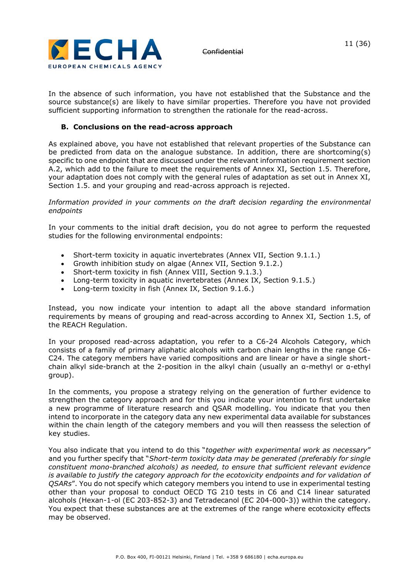

In the absence of such information, you have not established that the Substance and the source substance(s) are likely to have similar properties. Therefore you have not provided sufficient supporting information to strengthen the rationale for the read-across.

#### **B. Conclusions on the read-across approach**

As explained above, you have not established that relevant properties of the Substance can be predicted from data on the analogue substance. In addition, there are shortcoming(s) specific to one endpoint that are discussed under the relevant information requirement section A.2, which add to the failure to meet the requirements of Annex XI, Section 1.5. Therefore, your adaptation does not comply with the general rules of adaptation as set out in Annex XI, Section 1.5. and your grouping and read-across approach is rejected.

*Information provided in your comments on the draft decision regarding the environmental endpoints*

In your comments to the initial draft decision, you do not agree to perform the requested studies for the following environmental endpoints:

- Short-term toxicity in aquatic invertebrates (Annex VII, Section 9.1.1.)
- Growth inhibition study on algae (Annex VII, Section 9.1.2.)
- Short-term toxicity in fish (Annex VIII, Section 9.1.3.)
- Long-term toxicity in aquatic invertebrates (Annex IX, Section 9.1.5.)
- Long-term toxicity in fish (Annex IX, Section 9.1.6.)

Instead, you now indicate your intention to adapt all the above standard information requirements by means of grouping and read-across according to Annex XI, Section 1.5, of the REACH Regulation.

In your proposed read-across adaptation, you refer to a C6-24 Alcohols Category, which consists of a family of primary aliphatic alcohols with carbon chain lengths in the range C6- C24. The category members have varied compositions and are linear or have a single shortchain alkyl side-branch at the 2-position in the alkyl chain (usually an α-methyl or α-ethyl group).

In the comments, you propose a strategy relying on the generation of further evidence to strengthen the category approach and for this you indicate your intention to first undertake a new programme of literature research and QSAR modelling. You indicate that you then intend to incorporate in the category data any new experimental data available for substances within the chain length of the category members and you will then reassess the selection of key studies.

You also indicate that you intend to do this "*together with experimental work as necessary*" and you further specify that "*Short-term toxicity data may be generated (preferably for single constituent mono-branched alcohols) as needed, to ensure that sufficient relevant evidence is available to justify the category approach for the ecotoxicity endpoints and for validation of QSARs*". You do not specify which category members you intend to use in experimental testing other than your proposal to conduct OECD TG 210 tests in C6 and C14 linear saturated alcohols (Hexan-1-ol (EC 203-852-3) and Tetradecanol (EC 204-000-3)) within the category. You expect that these substances are at the extremes of the range where ecotoxicity effects may be observed.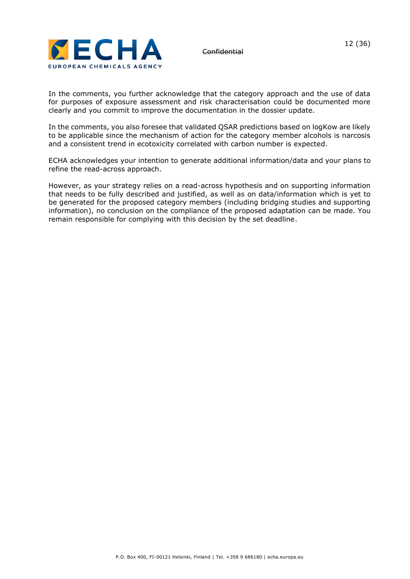

In the comments, you further acknowledge that the category approach and the use of data for purposes of exposure assessment and risk characterisation could be documented more clearly and you commit to improve the documentation in the dossier update.

In the comments, you also foresee that validated OSAR predictions based on logKow are likely to be applicable since the mechanism of action for the category member alcohols is narcosis and a consistent trend in ecotoxicity correlated with carbon number is expected.

ECHA acknowledges your intention to generate additional information/data and your plans to refine the read-across approach.

However, as your strategy relies on a read-across hypothesis and on supporting information that needs to be fully described and justified, as well as on data/information which is yet to be generated for the proposed category members (including bridging studies and supporting information), no conclusion on the compliance of the proposed adaptation can be made. You remain responsible for complying with this decision by the set deadline.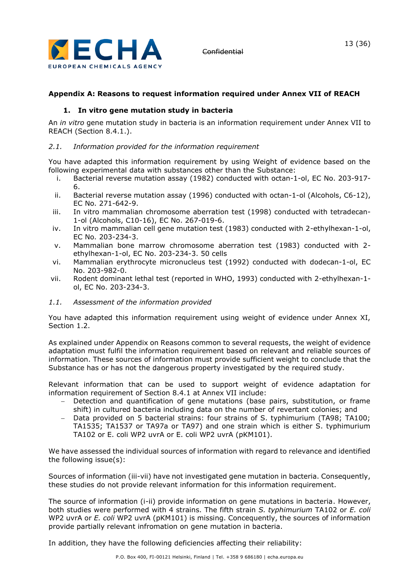

# **Appendix A: Reasons to request information required under Annex VII of REACH**

#### **1. In vitro gene mutation study in bacteria**

An *in vitro* gene mutation study in bacteria is an information requirement under Annex VII to REACH (Section 8.4.1.).

#### *2.1. Information provided for the information requirement*

You have adapted this information requirement by using Weight of evidence based on the following experimental data with substances other than the Substance:

- i. Bacterial reverse mutation assay (1982) conducted with octan-1-ol, EC No. 203-917- 6.
- ii. Bacterial reverse mutation assay (1996) conducted with octan-1-ol (Alcohols, C6-12), EC No. 271-642-9.
- iii. In vitro mammalian chromosome aberration test (1998) conducted with tetradecan-1-ol (Alcohols, C10-16), EC No. 267-019-6.
- iv. In vitro mammalian cell gene mutation test (1983) conducted with 2-ethylhexan-1-ol, EC No. 203-234-3.
- v. Mammalian bone marrow chromosome aberration test (1983) conducted with 2 ethylhexan-1-ol, EC No. 203-234-3. 50 cells
- vi. Mammalian erythrocyte micronucleus test (1992) conducted with dodecan-1-ol, EC No. 203-982-0.
- vii. Rodent dominant lethal test (reported in WHO, 1993) conducted with 2-ethylhexan-1 ol, EC No. 203-234-3.
- *1.1. Assessment of the information provided*

You have adapted this information requirement using weight of evidence under Annex XI, Section 1.2.

As explained under Appendix on Reasons common to several requests, the weight of evidence adaptation must fulfil the information requirement based on relevant and reliable sources of information. These sources of information must provide sufficient weight to conclude that the Substance has or has not the dangerous property investigated by the required study.

Relevant information that can be used to support weight of evidence adaptation for information requirement of Section 8.4.1 at Annex VII include:

- − Detection and quantification of gene mutations (base pairs, substitution, or frame shift) in cultured bacteria including data on the number of revertant colonies; and
- − Data provided on 5 bacterial strains: four strains of S. typhimurium (TA98; TA100; TA1535; TA1537 or TA97a or TA97) and one strain which is either S. typhimurium TA102 or E. coli WP2 uvrA or E. coli WP2 uvrA (pKM101).

We have assessed the individual sources of information with regard to relevance and identified the following issue(s):

Sources of information (iii-vii) have not investigated gene mutation in bacteria. Consequently, these studies do not provide relevant information for this information requirement.

The source of information (i-ii) provide information on gene mutations in bacteria. However, both studies were performed with 4 strains. The fifth strain *S. typhimurium* TA102 or *E. coli* WP2 uvrA or *E. coli* WP2 uvrA (pKM101) is missing. Concequently, the sources of information provide partially relevant infromation on gene mutation in bacteria.

In addition, they have the following deficiencies affecting their reliability: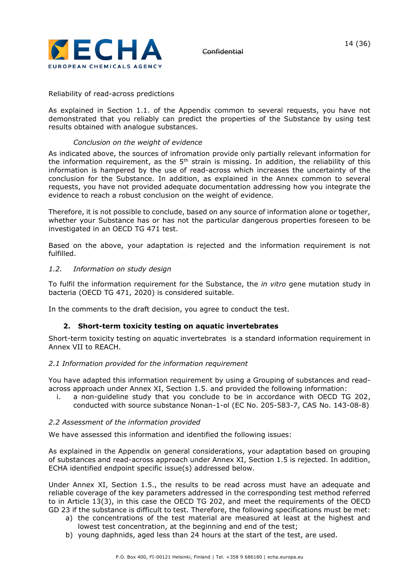

#### Reliability of read-across predictions

As explained in Section 1.1. of the Appendix common to several requests, you have not demonstrated that you reliably can predict the properties of the Substance by using test results obtained with analogue substances.

#### *Conclusion on the weight of evidence*

As indicated above, the sources of infromation provide only partially relevant information for the information requirement, as the  $5<sup>th</sup>$  strain is missing. In addition, the reliability of this information is hampered by the use of read-across which increases the uncertainty of the conclusion for the Substance. In addition, as explained in the Annex common to several requests, you have not provided adequate documentation addressing how you integrate the evidence to reach a robust conclusion on the weight of evidence.

Therefore, it is not possible to conclude, based on any source of information alone or together, whether your Substance has or has not the particular dangerous properties foreseen to be investigated in an OECD TG 471 test.

Based on the above, your adaptation is rejected and the information requirement is not fulfilled.

#### *1.2. Information on study design*

To fulfil the information requirement for the Substance, the *in vitro* gene mutation study in bacteria (OECD TG 471, 2020) is considered suitable.

In the comments to the draft decision, you agree to conduct the test.

# **2. Short-term toxicity testing on aquatic invertebrates**

Short-term toxicity testing on aquatic invertebrates is a standard information requirement in Annex VII to REACH.

#### *2.1 Information provided for the information requirement*

You have adapted this information requirement by using a Grouping of substances and readacross approach under Annex XI, Section 1.5. and provided the following information:

i. a non-guideline study that you conclude to be in accordance with OECD TG 202, conducted with source substance Nonan-1-ol (EC No. 205-583-7, CAS No. 143-08-8)

#### *2.2 Assessment of the information provided*

We have assessed this information and identified the following issues:

As explained in the Appendix on general considerations, your adaptation based on grouping of substances and read-across approach under Annex XI, Section 1.5 is rejected. In addition, ECHA identified endpoint specific issue(s) addressed below.

Under Annex XI, Section 1.5., the results to be read across must have an adequate and reliable coverage of the key parameters addressed in the corresponding test method referred to in Article 13(3), in this case the OECD TG 202, and meet the requirements of the OECD GD 23 if the substance is difficult to test. Therefore, the following specifications must be met:

- a) the concentrations of the test material are measured at least at the highest and lowest test concentration, at the beginning and end of the test;
- b) young daphnids, aged less than 24 hours at the start of the test, are used.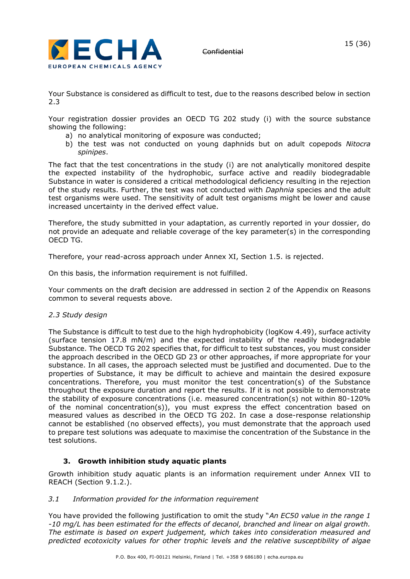

Your Substance is considered as difficult to test, due to the reasons described below in section 2.3

Your registration dossier provides an OECD TG 202 study (i) with the source substance showing the following:

- a) no analytical monitoring of exposure was conducted;
- b) the test was not conducted on young daphnids but on adult copepods *Nitocra spinipes*.

The fact that the test concentrations in the study (i) are not analytically monitored despite the expected instability of the hydrophobic, surface active and readily biodegradable Substance in water is considered a critical methodological deficiency resulting in the rejection of the study results. Further, the test was not conducted with *Daphnia* species and the adult test organisms were used. The sensitivity of adult test organisms might be lower and cause increased uncertainty in the derived effect value.

Therefore, the study submitted in your adaptation, as currently reported in your dossier, do not provide an adequate and reliable coverage of the key parameter(s) in the corresponding OECD TG.

Therefore, your read-across approach under Annex XI, Section 1.5. is rejected.

On this basis, the information requirement is not fulfilled.

Your comments on the draft decision are addressed in section 2 of the Appendix on Reasons common to several requests above.

# *2.3 Study design*

The Substance is difficult to test due to the high hydrophobicity (logKow 4.49), surface activity (surface tension 17.8 mN/m) and the expected instability of the readily biodegradable Substance. The OECD TG 202 specifies that, for difficult to test substances, you must consider the approach described in the OECD GD 23 or other approaches, if more appropriate for your substance. In all cases, the approach selected must be justified and documented. Due to the properties of Substance, it may be difficult to achieve and maintain the desired exposure concentrations. Therefore, you must monitor the test concentration(s) of the Substance throughout the exposure duration and report the results. If it is not possible to demonstrate the stability of exposure concentrations (i.e. measured concentration(s) not within 80-120% of the nominal concentration(s)), you must express the effect concentration based on measured values as described in the OECD TG 202. In case a dose-response relationship cannot be established (no observed effects), you must demonstrate that the approach used to prepare test solutions was adequate to maximise the concentration of the Substance in the test solutions.

# **3. Growth inhibition study aquatic plants**

Growth inhibition study aquatic plants is an information requirement under Annex VII to REACH (Section 9.1.2.).

# *3.1 Information provided for the information requirement*

You have provided the following justification to omit the study "*An EC50 value in the range 1 -10 mg/L has been estimated for the effects of decanol, branched and linear on algal growth. The estimate is based on expert judgement, which takes into consideration measured and predicted ecotoxicity values for other trophic levels and the relative susceptibility of algae*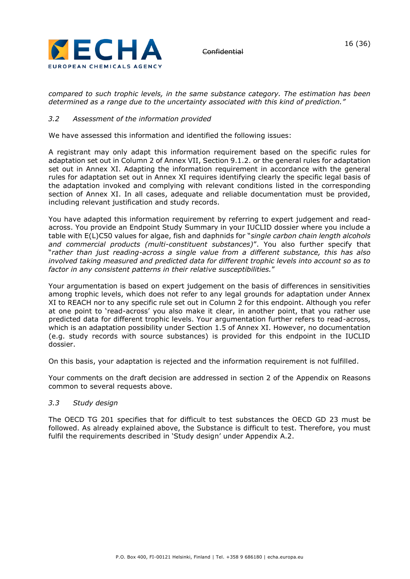

*compared to such trophic levels, in the same substance category. The estimation has been determined as a range due to the uncertainty associated with this kind of prediction."*

# *3.2 Assessment of the information provided*

We have assessed this information and identified the following issues:

A registrant may only adapt this information requirement based on the specific rules for adaptation set out in Column 2 of Annex VII, Section 9.1.2. or the general rules for adaptation set out in Annex XI. Adapting the information requirement in accordance with the general rules for adaptation set out in Annex XI requires identifying clearly the specific legal basis of the adaptation invoked and complying with relevant conditions listed in the corresponding section of Annex XI. In all cases, adequate and reliable documentation must be provided, including relevant justification and study records.

You have adapted this information requirement by referring to expert judgement and readacross. You provide an Endpoint Study Summary in your IUCLID dossier where you include a table with E(L)C50 values for algae, fish and daphnids for "*single carbon chain length alcohols and commercial products (multi-constituent substances)*". You also further specify that "*rather than just reading-across a single value from a different substance, this has also involved taking measured and predicted data for different trophic levels into account so as to factor in any consistent patterns in their relative susceptibilities.*"

Your argumentation is based on expert judgement on the basis of differences in sensitivities among trophic levels, which does not refer to any legal grounds for adaptation under Annex XI to REACH nor to any specific rule set out in Column 2 for this endpoint. Although you refer at one point to 'read-across' you also make it clear, in another point, that you rather use predicted data for different trophic levels. Your argumentation further refers to read-across, which is an adaptation possibility under Section 1.5 of Annex XI. However, no documentation (e.g. study records with source substances) is provided for this endpoint in the IUCLID dossier.

On this basis, your adaptation is rejected and the information requirement is not fulfilled.

Your comments on the draft decision are addressed in section 2 of the Appendix on Reasons common to several requests above.

#### *3.3 Study design*

The OECD TG 201 specifies that for difficult to test substances the OECD GD 23 must be followed. As already explained above, the Substance is difficult to test. Therefore, you must fulfil the requirements described in 'Study design' under Appendix A.2.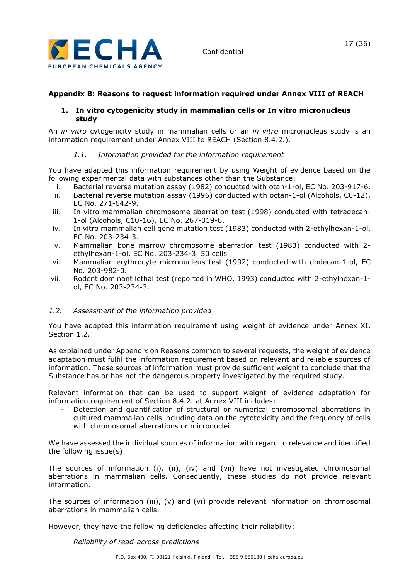

#### **Appendix B: Reasons to request information required under Annex VIII of REACH**

#### **1. In vitro cytogenicity study in mammalian cells or In vitro micronucleus study**

An *in vitro* cytogenicity study in mammalian cells or an *in vitro* micronucleus study is an information requirement under Annex VIII to REACH (Section 8.4.2.).

#### *1.1. Information provided for the information requirement*

You have adapted this information requirement by using Weight of evidence based on the following experimental data with substances other than the Substance:

- i. Bacterial reverse mutation assay (1982) conducted with otan-1-ol, EC No. 203-917-6.
- ii. Bacterial reverse mutation assay (1996) conducted with octan-1-ol (Alcohols, C6-12), EC No. 271-642-9.
- iii. In vitro mammalian chromosome aberration test (1998) conducted with tetradecan-1-ol (Alcohols, C10-16), EC No. 267-019-6.
- iv. In vitro mammalian cell gene mutation test (1983) conducted with 2-ethylhexan-1-ol, EC No. 203-234-3.
- v. Mammalian bone marrow chromosome aberration test (1983) conducted with 2 ethylhexan-1-ol, EC No. 203-234-3. 50 cells
- vi. Mammalian erythrocyte micronucleus test (1992) conducted with dodecan-1-ol, EC No. 203-982-0.
- vii. Rodent dominant lethal test (reported in WHO, 1993) conducted with 2-ethylhexan-1 ol, EC No. 203-234-3.

#### *1.2. Assessment of the information provided*

You have adapted this information requirement using weight of evidence under Annex XI, Section 1.2.

As explained under Appendix on Reasons common to several requests, the weight of evidence adaptation must fulfil the information requirement based on relevant and reliable sources of information. These sources of information must provide sufficient weight to conclude that the Substance has or has not the dangerous property investigated by the required study.

Relevant information that can be used to support weight of evidence adaptation for information requirement of Section 8.4.2. at Annex VIII includes:

Detection and quantification of structural or numerical chromosomal aberrations in cultured mammalian cells including data on the cytotoxicity and the frequency of cells with chromosomal aberrations or micronuclei.

We have assessed the individual sources of information with regard to relevance and identified the following issue(s):

The sources of information (i), (ii), (iv) and (vii) have not investigated chromosomal aberrations in mammalian cells. Consequently, these studies do not provide relevant information.

The sources of information (iii), (v) and (vi) provide relevant information on chromosomal aberrations in mammalian cells.

However, they have the following deficiencies affecting their reliability:

*Reliability of read-across predictions*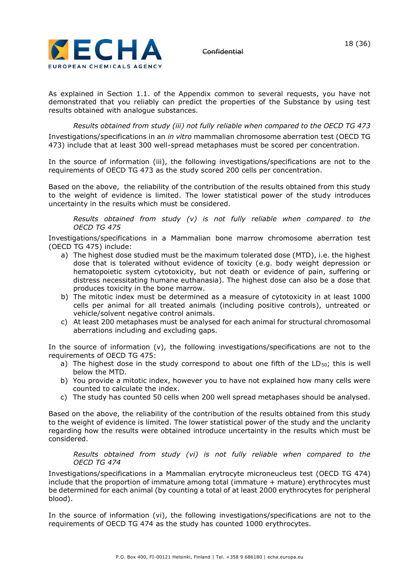

As explained in Section 1.1. of the Appendix common to several requests, you have not demonstrated that you reliably can predict the properties of the Substance by using test results obtained with analogue substances.

*Results obtained from study (iii) not fully reliable when compared to the OECD TG 473*

Investigations/specifications in an *in vitro* mammalian chromosome aberration test (OECD TG 473) include that at least 300 well-spread metaphases must be scored per concentration.

In the source of information (iii), the following investigations/specifications are not to the requirements of OECD TG 473 as the study scored 200 cells per concentration.

Based on the above, the reliability of the contribution of the results obtained from this study to the weight of evidence is limited. The lower statistical power of the study introduces uncertainty in the results which must be considered.

*Results obtained from study (v) is not fully reliable when compared to the OECD TG 475*

Investigations/specifications in a Mammalian bone marrow chromosome aberration test (OECD TG 475) include:

- a) The highest dose studied must be the maximum tolerated dose (MTD), i.e. the highest dose that is tolerated without evidence of toxicity (e.g. body weight depression or hematopoietic system cytotoxicity, but not death or evidence of pain, suffering or distress necessitating humane euthanasia). The highest dose can also be a dose that produces toxicity in the bone marrow.
- b) The mitotic index must be determined as a measure of cytotoxicity in at least 1000 cells per animal for all treated animals (including positive controls), untreated or vehicle/solvent negative control animals.
- c) At least 200 metaphases must be analysed for each animal for structural chromosomal aberrations including and excluding gaps.

In the source of information (v), the following investigations/specifications are not to the requirements of OECD TG 475:

- a) The highest dose in the study correspond to about one fifth of the  $LD_{50}$ ; this is well below the MTD.
- b) You provide a mitotic index, however you to have not explained how many cells were counted to calculate the index.
- c) The study has counted 50 cells when 200 well spread metaphases should be analysed.

Based on the above, the reliability of the contribution of the results obtained from this study to the weight of evidence is limited. The lower statistical power of the study and the unclarity regarding how the results were obtained introduce uncertainty in the results which must be considered.

*Results obtained from study (vi) is not fully reliable when compared to the OECD TG 474*

Investigations/specifications in a Mammalian erytrocyte microneucleus test (OECD TG 474) include that the proportion of immature among total (immature + mature) erythrocytes must be determined for each animal (by counting a total of at least 2000 erythrocytes for peripheral blood).

In the source of information (vi), the following investigations/specifications are not to the requirements of OECD TG 474 as the study has counted 1000 erythrocytes.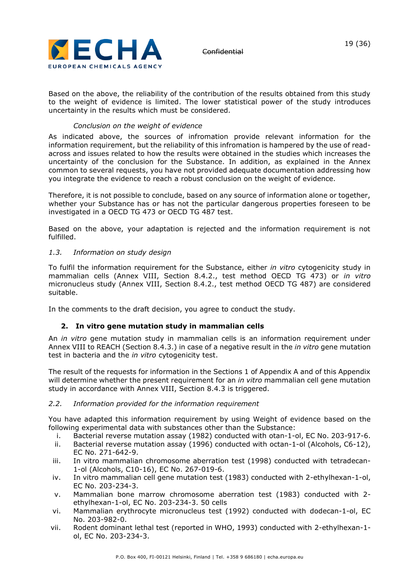

Based on the above, the reliability of the contribution of the results obtained from this study to the weight of evidence is limited. The lower statistical power of the study introduces uncertainty in the results which must be considered.

#### *Conclusion on the weight of evidence*

As indicated above, the sources of infromation provide relevant information for the information requirement, but the reliability of this infromation is hampered by the use of readacross and issues related to how the results were obtained in the studies which increases the uncertainty of the conclusion for the Substance. In addition, as explained in the Annex common to several requests, you have not provided adequate documentation addressing how you integrate the evidence to reach a robust conclusion on the weight of evidence.

Therefore, it is not possible to conclude, based on any source of information alone or together, whether your Substance has or has not the particular dangerous properties foreseen to be investigated in a OECD TG 473 or OECD TG 487 test.

Based on the above, your adaptation is rejected and the information requirement is not fulfilled.

#### *1.3. Information on study design*

To fulfil the information requirement for the Substance, either *in vitro* cytogenicity study in mammalian cells (Annex VIII, Section 8.4.2., test method OECD TG 473) or *in vitro* micronucleus study (Annex VIII, Section 8.4.2., test method OECD TG 487) are considered suitable.

In the comments to the draft decision, you agree to conduct the study.

# **2. In vitro gene mutation study in mammalian cells**

An *in vitro* gene mutation study in mammalian cells is an information requirement under Annex VIII to REACH (Section 8.4.3.) in case of a negative result in the *in vitro* gene mutation test in bacteria and the *in vitro* cytogenicity test.

The result of the requests for information in the Sections 1 of Appendix A and of this Appendix will determine whether the present requirement for an *in vitro* mammalian cell gene mutation study in accordance with Annex VIII, Section 8.4.3 is triggered.

#### *2.2. Information provided for the information requirement*

You have adapted this information requirement by using Weight of evidence based on the following experimental data with substances other than the Substance:

- i. Bacterial reverse mutation assay (1982) conducted with otan-1-ol, EC No. 203-917-6.
- ii. Bacterial reverse mutation assay (1996) conducted with octan-1-ol (Alcohols, C6-12), EC No. 271-642-9.
- iii. In vitro mammalian chromosome aberration test (1998) conducted with tetradecan-1-ol (Alcohols, C10-16), EC No. 267-019-6.
- iv. In vitro mammalian cell gene mutation test (1983) conducted with 2-ethylhexan-1-ol, EC No. 203-234-3.
- v. Mammalian bone marrow chromosome aberration test (1983) conducted with 2 ethylhexan-1-ol, EC No. 203-234-3. 50 cells
- vi. Mammalian erythrocyte micronucleus test (1992) conducted with dodecan-1-ol, EC No. 203-982-0.
- vii. Rodent dominant lethal test (reported in WHO, 1993) conducted with 2-ethylhexan-1 ol, EC No. 203-234-3.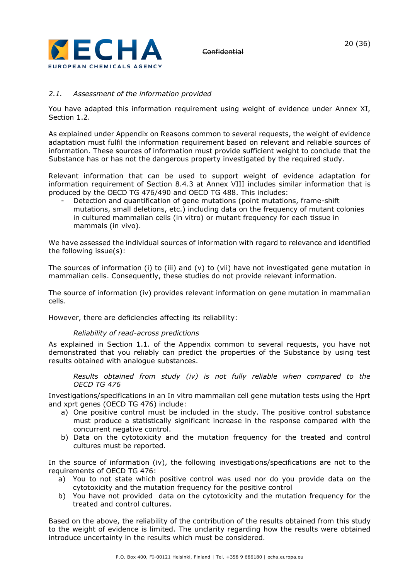

#### *2.1. Assessment of the information provided*

You have adapted this information requirement using weight of evidence under Annex XI, Section 1.2.

As explained under Appendix on Reasons common to several requests, the weight of evidence adaptation must fulfil the information requirement based on relevant and reliable sources of information. These sources of information must provide sufficient weight to conclude that the Substance has or has not the dangerous property investigated by the required study.

Relevant information that can be used to support weight of evidence adaptation for information requirement of Section 8.4.3 at Annex VIII includes similar information that is produced by the OECD TG 476/490 and OECD TG 488. This includes:

- Detection and quantification of gene mutations (point mutations, frame-shift mutations, small deletions, etc.) including data on the frequency of mutant colonies in cultured mammalian cells (in vitro) or mutant frequency for each tissue in mammals (in vivo).

We have assessed the individual sources of information with regard to relevance and identified the following issue(s):

The sources of information (i) to (iii) and (v) to (vii) have not investigated gene mutation in mammalian cells. Consequently, these studies do not provide relevant information.

The source of information (iv) provides relevant information on gene mutation in mammalian cells.

However, there are deficiencies affecting its reliability:

#### *Reliability of read-across predictions*

As explained in Section 1.1. of the Appendix common to several requests, you have not demonstrated that you reliably can predict the properties of the Substance by using test results obtained with analogue substances.

*Results obtained from study (iv) is not fully reliable when compared to the OECD TG 476*

Investigations/specifications in an In vitro mammalian cell gene mutation tests using the Hprt and xprt genes (OECD TG 476) include:

- a) One positive control must be included in the study. The positive control substance must produce a statistically significant increase in the response compared with the concurrent negative control.
- b) Data on the cytotoxicity and the mutation frequency for the treated and control cultures must be reported.

In the source of information (iv), the following investigations/specifications are not to the requirements of OECD TG 476:

- a) You to not state which positive control was used nor do you provide data on the cytotoxicity and the mutation frequency for the positive control
- b) You have not provided data on the cytotoxicity and the mutation frequency for the treated and control cultures.

Based on the above, the reliability of the contribution of the results obtained from this study to the weight of evidence is limited. The unclarity regarding how the results were obtained introduce uncertainty in the results which must be considered.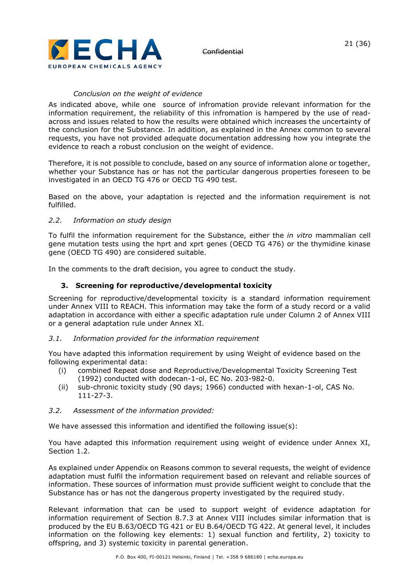

#### *Conclusion on the weight of evidence*

As indicated above, while one source of infromation provide relevant information for the information requirement, the reliability of this infromation is hampered by the use of readacross and issues related to how the results were obtained which increases the uncertainty of the conclusion for the Substance. In addition, as explained in the Annex common to several requests, you have not provided adequate documentation addressing how you integrate the evidence to reach a robust conclusion on the weight of evidence.

Therefore, it is not possible to conclude, based on any source of information alone or together, whether your Substance has or has not the particular dangerous properties foreseen to be investigated in an OECD TG 476 or OECD TG 490 test.

Based on the above, your adaptation is rejected and the information requirement is not fulfilled.

#### *2.2. Information on study design*

To fulfil the information requirement for the Substance, either the *in vitro* mammalian cell gene mutation tests using the hprt and xprt genes (OECD TG 476) or the thymidine kinase gene (OECD TG 490) are considered suitable.

In the comments to the draft decision, you agree to conduct the study.

#### **3. Screening for reproductive/developmental toxicity**

Screening for reproductive/developmental toxicity is a standard information requirement under Annex VIII to REACH. This information may take the form of a study record or a valid adaptation in accordance with either a specific adaptation rule under Column 2 of Annex VIII or a general adaptation rule under Annex XI.

#### *3.1. Information provided for the information requirement*

You have adapted this information requirement by using Weight of evidence based on the following experimental data:

- (i) combined Repeat dose and Reproductive/Developmental Toxicity Screening Test (1992) conducted with dodecan-1-ol, EC No. 203-982-0.
- (ii) sub-chronic toxicity study (90 days; 1966) conducted with hexan-1-ol, CAS No. 111-27-3.
- *3.2. Assessment of the information provided:*

We have assessed this information and identified the following issue(s):

You have adapted this information requirement using weight of evidence under Annex XI, Section 1.2.

As explained under Appendix on Reasons common to several requests, the weight of evidence adaptation must fulfil the information requirement based on relevant and reliable sources of information. These sources of information must provide sufficient weight to conclude that the Substance has or has not the dangerous property investigated by the required study.

Relevant information that can be used to support weight of evidence adaptation for information requirement of Section 8.7.3 at Annex VIII includes similar information that is produced by the EU B.63/OECD TG 421 or EU B.64/OECD TG 422. At general level, it includes information on the following key elements: 1) sexual function and fertility, 2) toxicity to offspring, and 3) systemic toxicity in parental generation.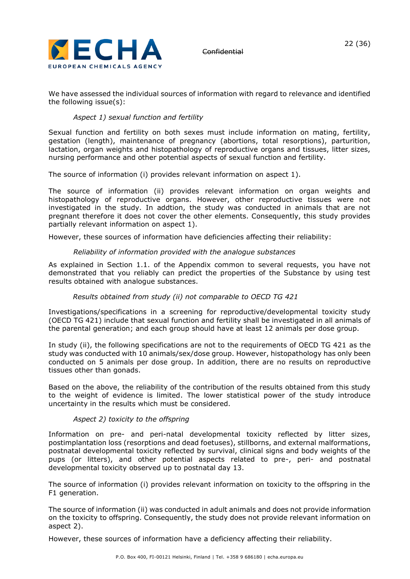

We have assessed the individual sources of information with regard to relevance and identified the following issue(s):

#### *Aspect 1) sexual function and fertility*

Sexual function and fertility on both sexes must include information on mating, fertility, gestation (length), maintenance of pregnancy (abortions, total resorptions), parturition, lactation, organ weights and histopathology of reproductive organs and tissues, litter sizes, nursing performance and other potential aspects of sexual function and fertility.

The source of information (i) provides relevant information on aspect 1).

The source of information (ii) provides relevant information on organ weights and histopathology of reproductive organs. However, other reproductive tissues were not investigated in the study. In addtion, the study was conducted in animals that are not pregnant therefore it does not cover the other elements. Consequently, this study provides partially relevant information on aspect 1).

However, these sources of information have deficiencies affecting their reliability:

#### *Reliability of information provided with the analogue substances*

As explained in Section 1.1. of the Appendix common to several requests, you have not demonstrated that you reliably can predict the properties of the Substance by using test results obtained with analogue substances.

# *Results obtained from study (ii) not comparable to OECD TG 421*

Investigations/specifications in a screening for reproductive/developmental toxicity study (OECD TG 421) include that sexual function and fertility shall be investigated in all animals of the parental generation; and each group should have at least 12 animals per dose group.

In study (ii), the following specifications are not to the requirements of OECD TG 421 as the study was conducted with 10 animals/sex/dose group. However, histopathology has only been conducted on 5 animals per dose group. In addition, there are no results on reproductive tissues other than gonads.

Based on the above, the reliability of the contribution of the results obtained from this study to the weight of evidence is limited. The lower statistical power of the study introduce uncertainty in the results which must be considered.

# *Aspect 2) toxicity to the offspring*

Information on pre- and peri-natal developmental toxicity reflected by litter sizes, postimplantation loss (resorptions and dead foetuses), stillborns, and external malformations, postnatal developmental toxicity reflected by survival, clinical signs and body weights of the pups (or litters), and other potential aspects related to pre-, peri- and postnatal developmental toxicity observed up to postnatal day 13.

The source of information (i) provides relevant information on toxicity to the offspring in the F1 generation.

The source of information (ii) was conducted in adult animals and does not provide information on the toxicity to offspring. Consequently, the study does not provide relevant information on aspect 2).

However, these sources of information have a deficiency affecting their reliability.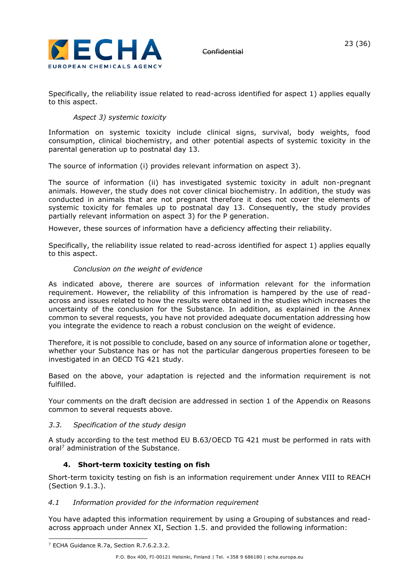

Specifically, the reliability issue related to read-across identified for aspect 1) applies equally to this aspect.

#### *Aspect 3) systemic toxicity*

Information on systemic toxicity include clinical signs, survival, body weights, food consumption, clinical biochemistry, and other potential aspects of systemic toxicity in the parental generation up to postnatal day 13.

The source of information (i) provides relevant information on aspect 3).

The source of information (ii) has investigated systemic toxicity in adult non-pregnant animals. However, the study does not cover clinical biochemistry. In addition, the study was conducted in animals that are not pregnant therefore it does not cover the elements of systemic toxicity for females up to postnatal day 13. Consequently, the study provides partially relevant information on aspect 3) for the P generation.

However, these sources of information have a deficiency affecting their reliability.

Specifically, the reliability issue related to read-across identified for aspect 1) applies equally to this aspect.

#### *Conclusion on the weight of evidence*

As indicated above, therere are sources of information relevant for the information requirement. However, the reliability of this infromation is hampered by the use of readacross and issues related to how the results were obtained in the studies which increases the uncertainty of the conclusion for the Substance. In addition, as explained in the Annex common to several requests, you have not provided adequate documentation addressing how you integrate the evidence to reach a robust conclusion on the weight of evidence.

Therefore, it is not possible to conclude, based on any source of information alone or together, whether your Substance has or has not the particular dangerous properties foreseen to be investigated in an OECD TG 421 study.

Based on the above, your adaptation is rejected and the information requirement is not fulfilled.

Your comments on the draft decision are addressed in section 1 of the Appendix on Reasons common to several requests above.

#### *3.3. Specification of the study design*

A study according to the test method EU B.63/OECD TG 421 must be performed in rats with oral<sup>7</sup> administration of the Substance.

#### **4. Short-term toxicity testing on fish**

Short-term toxicity testing on fish is an information requirement under Annex VIII to REACH (Section 9.1.3.).

#### *4.1 Information provided for the information requirement*

You have adapted this information requirement by using a Grouping of substances and readacross approach under Annex XI, Section 1.5. and provided the following information:

<sup>7</sup> ECHA Guidance R.7a, Section R.7.6.2.3.2.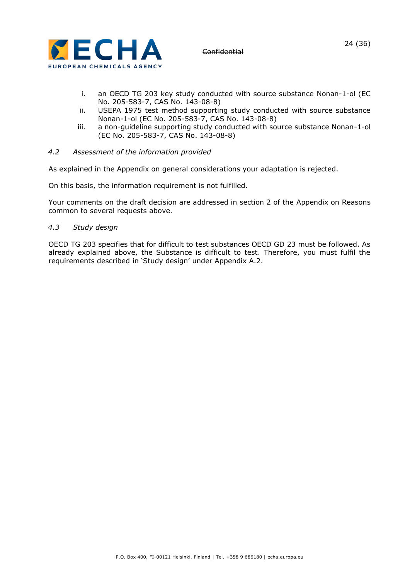

- i. an OECD TG 203 key study conducted with source substance Nonan-1-ol (EC No. 205-583-7, CAS No. 143-08-8)
- ii. USEPA 1975 test method supporting study conducted with source substance Nonan-1-ol (EC No. 205-583-7, CAS No. 143-08-8)
- iii. a non-guideline supporting study conducted with source substance Nonan-1-ol (EC No. 205-583-7, CAS No. 143-08-8)

#### *4.2 Assessment of the information provided*

As explained in the Appendix on general considerations your adaptation is rejected.

On this basis, the information requirement is not fulfilled.

Your comments on the draft decision are addressed in section 2 of the Appendix on Reasons common to several requests above.

#### *4.3 Study design*

OECD TG 203 specifies that for difficult to test substances OECD GD 23 must be followed. As already explained above, the Substance is difficult to test. Therefore, you must fulfil the requirements described in 'Study design' under Appendix A.2.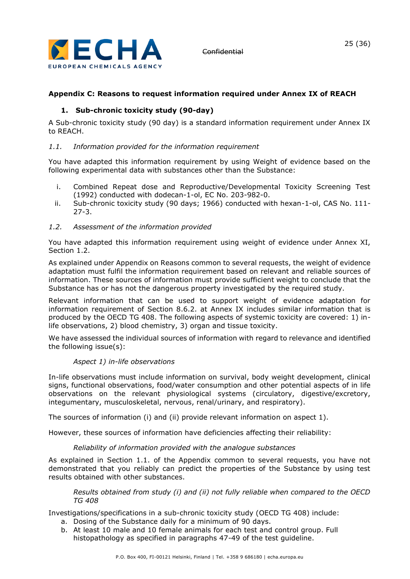

# **Appendix C: Reasons to request information required under Annex IX of REACH**

# **1. Sub-chronic toxicity study (90-day)**

A Sub-chronic toxicity study (90 day) is a standard information requirement under Annex IX to REACH.

#### *1.1. Information provided for the information requirement*

You have adapted this information requirement by using Weight of evidence based on the following experimental data with substances other than the Substance:

- i. Combined Repeat dose and Reproductive/Developmental Toxicity Screening Test (1992) conducted with dodecan-1-ol, EC No. 203-982-0.
- ii. Sub-chronic toxicity study (90 days; 1966) conducted with hexan-1-ol, CAS No. 111- 27-3.

#### *1.2. Assessment of the information provided*

You have adapted this information requirement using weight of evidence under Annex XI, Section 1.2.

As explained under Appendix on Reasons common to several requests, the weight of evidence adaptation must fulfil the information requirement based on relevant and reliable sources of information. These sources of information must provide sufficient weight to conclude that the Substance has or has not the dangerous property investigated by the required study.

Relevant information that can be used to support weight of evidence adaptation for information requirement of Section 8.6.2. at Annex IX includes similar information that is produced by the OECD TG 408. The following aspects of systemic toxicity are covered: 1) inlife observations, 2) blood chemistry, 3) organ and tissue toxicity.

We have assessed the individual sources of information with regard to relevance and identified the following issue(s):

#### *Aspect 1) in-life observations*

In-life observations must include information on survival, body weight development, clinical signs, functional observations, food/water consumption and other potential aspects of in life observations on the relevant physiological systems (circulatory, digestive/excretory, integumentary, musculoskeletal, nervous, renal/urinary, and respiratory).

The sources of information (i) and (ii) provide relevant information on aspect 1).

However, these sources of information have deficiencies affecting their reliability:

#### *Reliability of information provided with the analogue substances*

As explained in Section 1.1. of the Appendix common to several requests, you have not demonstrated that you reliably can predict the properties of the Substance by using test results obtained with other substances.

*Results obtained from study (i) and (ii) not fully reliable when compared to the OECD TG 408*

Investigations/specifications in a sub-chronic toxicity study (OECD TG 408) include:

- a. Dosing of the Substance daily for a minimum of 90 days.
- b. At least 10 male and 10 female animals for each test and control group. Full histopathology as specified in paragraphs 47-49 of the test guideline.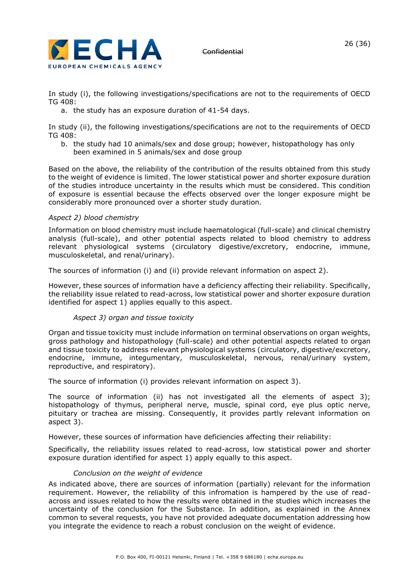

In study (i), the following investigations/specifications are not to the requirements of OECD TG 408:

a. the study has an exposure duration of 41-54 days.

In study (ii), the following investigations/specifications are not to the requirements of OECD TG 408:

b. the study had 10 animals/sex and dose group; however, histopathology has only been examined in 5 animals/sex and dose group

Based on the above, the reliability of the contribution of the results obtained from this study to the weight of evidence is limited. The lower statistical power and shorter exposure duration of the studies introduce uncertainty in the results which must be considered. This condition of exposure is essential because the effects observed over the longer exposure might be considerably more pronounced over a shorter study duration.

#### *Aspect 2) blood chemistry*

Information on blood chemistry must include haematological (full-scale) and clinical chemistry analysis (full-scale), and other potential aspects related to blood chemistry to address relevant physiological systems (circulatory digestive/excretory, endocrine, immune, musculoskeletal, and renal/urinary).

The sources of information (i) and (ii) provide relevant information on aspect 2).

However, these sources of information have a deficiency affecting their reliability. Specifically, the reliability issue related to read-across, low statistical power and shorter exposure duration identified for aspect 1) applies equally to this aspect.

# *Aspect 3) organ and tissue toxicity*

Organ and tissue toxicity must include information on terminal observations on organ weights, gross pathology and histopathology (full-scale) and other potential aspects related to organ and tissue toxicity to address relevant physiological systems (circulatory, digestive/excretory, endocrine, immune, integumentary, musculoskeletal, nervous, renal/urinary system, reproductive, and respiratory).

The source of information (i) provides relevant information on aspect 3).

The source of information (ii) has not investigated all the elements of aspect 3); histopathology of thymus, peripheral nerve, muscle, spinal cord, eye plus optic nerve, pituitary or trachea are missing. Consequently, it provides partly relevant information on aspect 3).

However, these sources of information have deficiencies affecting their reliability:

Specifically, the reliability issues related to read-across, low statistical power and shorter exposure duration identified for aspect 1) apply equally to this aspect.

#### *Conclusion on the weight of evidence*

As indicated above, there are sources of information (partially) relevant for the information requirement. However, the reliability of this infromation is hampered by the use of readacross and issues related to how the results were obtained in the studies which increases the uncertainty of the conclusion for the Substance. In addition, as explained in the Annex common to several requests, you have not provided adequate documentation addressing how you integrate the evidence to reach a robust conclusion on the weight of evidence.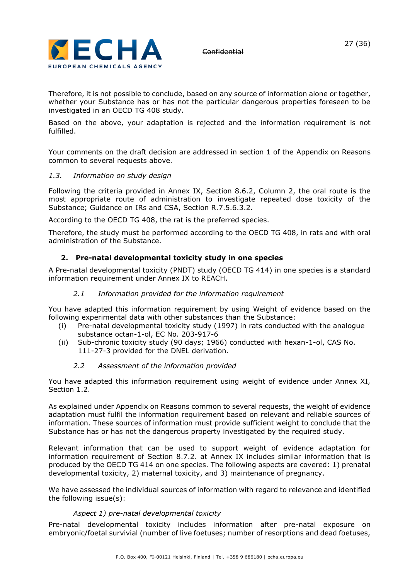

Therefore, it is not possible to conclude, based on any source of information alone or together, whether your Substance has or has not the particular dangerous properties foreseen to be investigated in an OECD TG 408 study.

Based on the above, your adaptation is rejected and the information requirement is not fulfilled.

Your comments on the draft decision are addressed in section 1 of the Appendix on Reasons common to several requests above.

#### *1.3. Information on study design*

Following the criteria provided in Annex IX, Section 8.6.2, Column 2, the oral route is the most appropriate route of administration to investigate repeated dose toxicity of the Substance; Guidance on IRs and CSA, Section R.7.5.6.3.2.

According to the OECD TG 408, the rat is the preferred species.

Therefore, the study must be performed according to the OECD TG 408, in rats and with oral administration of the Substance.

#### **2. Pre-natal developmental toxicity study in one species**

A Pre-natal developmental toxicity (PNDT) study (OECD TG 414) in one species is a standard information requirement under Annex IX to REACH.

#### *2.1 Information provided for the information requirement*

You have adapted this information requirement by using Weight of evidence based on the following experimental data with other substances than the Substance:

- (i) Pre-natal developmental toxicity study (1997) in rats conducted with the analogue substance octan-1-ol, EC No. 203-917-6
- (ii) Sub-chronic toxicity study (90 days; 1966) conducted with hexan-1-ol, CAS No. 111-27-3 provided for the DNEL derivation.

#### *2.2 Assessment of the information provided*

You have adapted this information requirement using weight of evidence under Annex XI, Section 1.2.

As explained under Appendix on Reasons common to several requests, the weight of evidence adaptation must fulfil the information requirement based on relevant and reliable sources of information. These sources of information must provide sufficient weight to conclude that the Substance has or has not the dangerous property investigated by the required study.

Relevant information that can be used to support weight of evidence adaptation for information requirement of Section 8.7.2. at Annex IX includes similar information that is produced by the OECD TG 414 on one species. The following aspects are covered: 1) prenatal developmental toxicity, 2) maternal toxicity, and 3) maintenance of pregnancy.

We have assessed the individual sources of information with regard to relevance and identified the following issue(s):

#### *Aspect 1) pre-natal developmental toxicity*

Pre-natal developmental toxicity includes information after pre-natal exposure on embryonic/foetal survivial (number of live foetuses; number of resorptions and dead foetuses,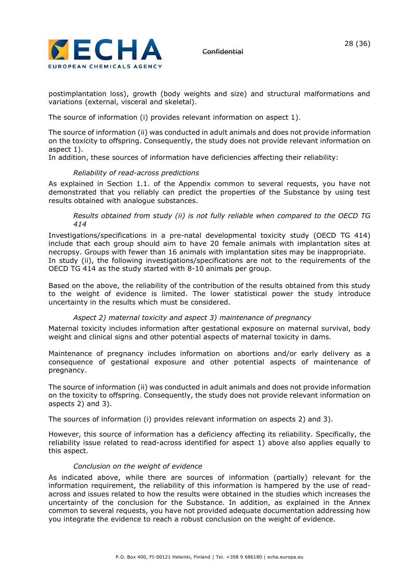

postimplantation loss), growth (body weights and size) and structural malformations and variations (external, visceral and skeletal).

The source of information (i) provides relevant information on aspect 1).

The source of information (ii) was conducted in adult animals and does not provide information on the toxicity to offspring. Consequently, the study does not provide relevant information on aspect 1).

In addition, these sources of information have deficiencies affecting their reliability:

#### *Reliability of read-across predictions*

As explained in Section 1.1. of the Appendix common to several requests, you have not demonstrated that you reliably can predict the properties of the Substance by using test results obtained with analogue substances.

#### *Results obtained from study (ii) is not fully reliable when compared to the OECD TG 414*

Investigations/specifications in a pre-natal developmental toxicity study (OECD TG 414) include that each group should aim to have 20 female animals with implantation sites at necropsy. Groups with fewer than 16 animals with implantation sites may be inappropriate. In study (ii), the following investigations/specifications are not to the requirements of the OECD TG 414 as the study started with 8-10 animals per group.

Based on the above, the reliability of the contribution of the results obtained from this study to the weight of evidence is limited. The lower statistical power the study introduce uncertainty in the results which must be considered.

#### *Aspect 2) maternal toxicity and aspect 3) maintenance of pregnancy*

Maternal toxicity includes information after gestational exposure on maternal survival, body weight and clinical signs and other potential aspects of maternal toxicity in dams.

Maintenance of pregnancy includes information on abortions and/or early delivery as a consequence of gestational exposure and other potential aspects of maintenance of pregnancy.

The source of information (ii) was conducted in adult animals and does not provide information on the toxicity to offspring. Consequently, the study does not provide relevant information on aspects 2) and 3).

The sources of information (i) provides relevant information on aspects 2) and 3).

However, this source of information has a deficiency affecting its reliability. Specifically, the reliability issue related to read-across identified for aspect 1) above also applies equally to this aspect.

#### *Conclusion on the weight of evidence*

As indicated above, while there are sources of information (partially) relevant for the information requirement, the reliability of this information is hampered by the use of readacross and issues related to how the results were obtained in the studies which increases the uncertainty of the conclusion for the Substance. In addition, as explained in the Annex common to several requests, you have not provided adequate documentation addressing how you integrate the evidence to reach a robust conclusion on the weight of evidence.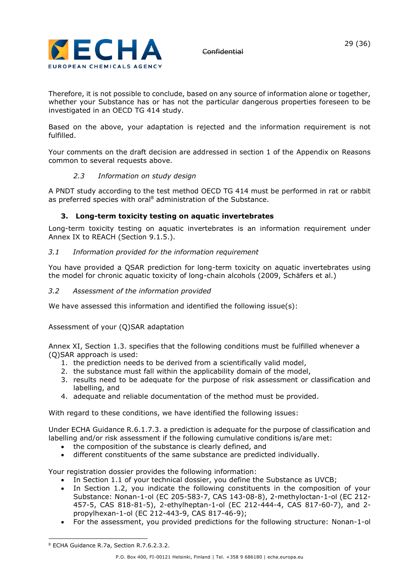

Therefore, it is not possible to conclude, based on any source of information alone or together, whether your Substance has or has not the particular dangerous properties foreseen to be investigated in an OECD TG 414 study.

Based on the above, your adaptation is rejected and the information requirement is not fulfilled.

Your comments on the draft decision are addressed in section 1 of the Appendix on Reasons common to several requests above.

# *2.3 Information on study design*

A PNDT study according to the test method OECD TG 414 must be performed in rat or rabbit as preferred species with oral<sup>8</sup> administration of the Substance.

# **3. Long-term toxicity testing on aquatic invertebrates**

Long-term toxicity testing on aquatic invertebrates is an information requirement under Annex IX to REACH (Section 9.1.5.).

# *3.1 Information provided for the information requirement*

You have provided a QSAR prediction for long-term toxicity on aquatic invertebrates using the model for chronic aquatic toxicity of long-chain alcohols (2009, Schäfers et al.)

# *3.2 Assessment of the information provided*

We have assessed this information and identified the following issue(s):

Assessment of your (Q)SAR adaptation

Annex XI, Section 1.3. specifies that the following conditions must be fulfilled whenever a (Q)SAR approach is used:

- 1. the prediction needs to be derived from a scientifically valid model,
- 2. the substance must fall within the applicability domain of the model,
- 3. results need to be adequate for the purpose of risk assessment or classification and labelling, and
- 4. adequate and reliable documentation of the method must be provided.

With regard to these conditions, we have identified the following issues:

Under ECHA Guidance R.6.1.7.3. a prediction is adequate for the purpose of classification and labelling and/or risk assessment if the following cumulative conditions is/are met:

- the composition of the substance is clearly defined, and
- different constituents of the same substance are predicted individually.

Your registration dossier provides the following information:

- In Section 1.1 of your technical dossier, you define the Substance as UVCB;
- In Section 1.2, you indicate the following constituents in the composition of your Substance: Nonan-1-ol (EC 205-583-7, CAS 143-08-8), 2-methyloctan-1-ol (EC 212- 457-5, CAS 818-81-5), 2-ethylheptan-1-ol (EC 212-444-4, CAS 817-60-7), and 2 propylhexan-1-ol (EC 212-443-9, CAS 817-46-9);
- For the assessment, you provided predictions for the following structure: Nonan-1-ol

<sup>8</sup> ECHA Guidance R.7a, Section R.7.6.2.3.2.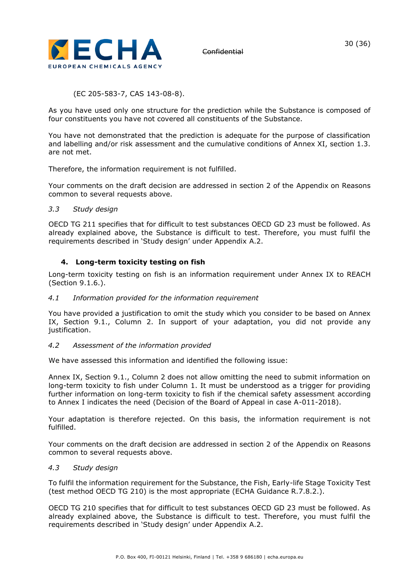

# (EC 205-583-7, CAS 143-08-8).

As you have used only one structure for the prediction while the Substance is composed of four constituents you have not covered all constituents of the Substance.

You have not demonstrated that the prediction is adequate for the purpose of classification and labelling and/or risk assessment and the cumulative conditions of Annex XI, section 1.3. are not met.

Therefore, the information requirement is not fulfilled.

Your comments on the draft decision are addressed in section 2 of the Appendix on Reasons common to several requests above.

#### *3.3 Study design*

OECD TG 211 specifies that for difficult to test substances OECD GD 23 must be followed. As already explained above, the Substance is difficult to test. Therefore, you must fulfil the requirements described in 'Study design' under Appendix A.2.

# **4. Long-term toxicity testing on fish**

Long-term toxicity testing on fish is an information requirement under Annex IX to REACH (Section 9.1.6.).

#### *4.1 Information provided for the information requirement*

You have provided a justification to omit the study which you consider to be based on Annex IX, Section 9.1., Column 2. In support of your adaptation, you did not provide any justification.

#### *4.2 Assessment of the information provided*

We have assessed this information and identified the following issue:

Annex IX, Section 9.1., Column 2 does not allow omitting the need to submit information on long-term toxicity to fish under Column 1. It must be understood as a trigger for providing further information on long-term toxicity to fish if the chemical safety assessment according to Annex I indicates the need (Decision of the Board of Appeal in case A-011-2018).

Your adaptation is therefore rejected. On this basis, the information requirement is not fulfilled.

Your comments on the draft decision are addressed in section 2 of the Appendix on Reasons common to several requests above.

#### *4.3 Study design*

To fulfil the information requirement for the Substance, the Fish, Early-life Stage Toxicity Test (test method OECD TG 210) is the most appropriate (ECHA Guidance R.7.8.2.).

OECD TG 210 specifies that for difficult to test substances OECD GD 23 must be followed. As already explained above, the Substance is difficult to test. Therefore, you must fulfil the requirements described in 'Study design' under Appendix A.2.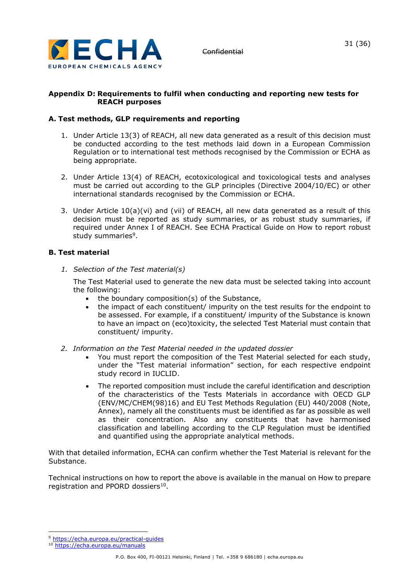

#### **Appendix D: Requirements to fulfil when conducting and reporting new tests for REACH purposes**

#### **A. Test methods, GLP requirements and reporting**

- 1. Under Article 13(3) of REACH, all new data generated as a result of this decision must be conducted according to the test methods laid down in a European Commission Regulation or to international test methods recognised by the Commission or ECHA as being appropriate.
- 2. Under Article 13(4) of REACH, ecotoxicological and toxicological tests and analyses must be carried out according to the GLP principles (Directive 2004/10/EC) or other international standards recognised by the Commission or ECHA.
- 3. Under Article 10(a)(vi) and (vii) of REACH, all new data generated as a result of this decision must be reported as study summaries, or as robust study summaries, if required under Annex I of REACH. See ECHA Practical Guide on How to report robust study summaries<sup>9</sup>.

#### **B. Test material**

*1. Selection of the Test material(s)*

The Test Material used to generate the new data must be selected taking into account the following:

- the boundary composition(s) of the Substance,
- the impact of each constituent/ impurity on the test results for the endpoint to be assessed. For example, if a constituent/ impurity of the Substance is known to have an impact on (eco)toxicity, the selected Test Material must contain that constituent/ impurity.
- *2. Information on the Test Material needed in the updated dossier*
	- You must report the composition of the Test Material selected for each study, under the "Test material information" section, for each respective endpoint study record in IUCLID.
	- The reported composition must include the careful identification and description of the characteristics of the Tests Materials in accordance with OECD GLP (ENV/MC/CHEM(98)16) and EU Test Methods Regulation (EU) 440/2008 (Note, Annex), namely all the constituents must be identified as far as possible as well as their concentration. Also any constituents that have harmonised classification and labelling according to the CLP Regulation must be identified and quantified using the appropriate analytical methods.

With that detailed information, ECHA can confirm whether the Test Material is relevant for the Substance.

Technical instructions on how to report the above is available in the manual on How to prepare registration and PPORD dossiers<sup>10</sup>.

<sup>9</sup> <https://echa.europa.eu/practical-guides>

<sup>10</sup> <https://echa.europa.eu/manuals>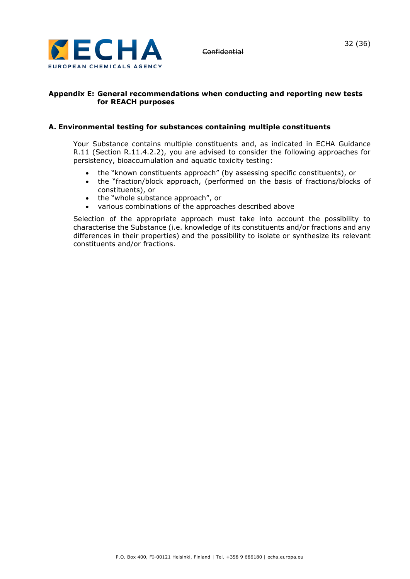

#### **Appendix E: General recommendations when conducting and reporting new tests for REACH purposes**

#### **A. Environmental testing for substances containing multiple constituents**

Your Substance contains multiple constituents and, as indicated in ECHA Guidance R.11 (Section R.11.4.2.2), you are advised to consider the following approaches for persistency, bioaccumulation and aquatic toxicity testing:

- the "known constituents approach" (by assessing specific constituents), or
- the "fraction/block approach, (performed on the basis of fractions/blocks of constituents), or
- the "whole substance approach", or
- various combinations of the approaches described above

Selection of the appropriate approach must take into account the possibility to characterise the Substance (i.e. knowledge of its constituents and/or fractions and any differences in their properties) and the possibility to isolate or synthesize its relevant constituents and/or fractions.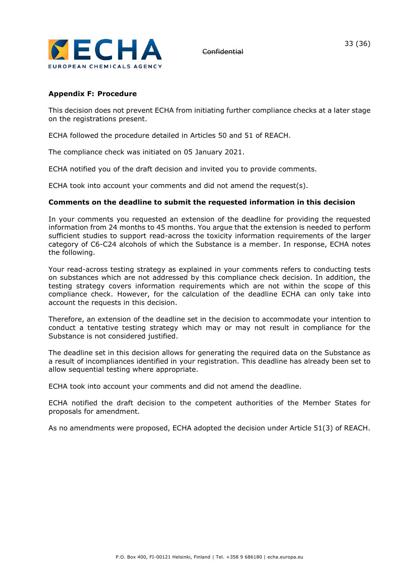

#### **Appendix F: Procedure**

This decision does not prevent ECHA from initiating further compliance checks at a later stage on the registrations present.

ECHA followed the procedure detailed in Articles 50 and 51 of REACH.

The compliance check was initiated on 05 January 2021.

ECHA notified you of the draft decision and invited you to provide comments.

ECHA took into account your comments and did not amend the request(s).

#### **Comments on the deadline to submit the requested information in this decision**

In your comments you requested an extension of the deadline for providing the requested information from 24 months to 45 months. You argue that the extension is needed to perform sufficient studies to support read-across the toxicity information requirements of the larger category of C6-C24 alcohols of which the Substance is a member. In response, ECHA notes the following.

Your read-across testing strategy as explained in your comments refers to conducting tests on substances which are not addressed by this compliance check decision. In addition, the testing strategy covers information requirements which are not within the scope of this compliance check. However, for the calculation of the deadline ECHA can only take into account the requests in this decision.

Therefore, an extension of the deadline set in the decision to accommodate your intention to conduct a tentative testing strategy which may or may not result in compliance for the Substance is not considered justified.

The deadline set in this decision allows for generating the required data on the Substance as a result of incompliances identified in your registration. This deadline has already been set to allow sequential testing where appropriate.

ECHA took into account your comments and did not amend the deadline.

ECHA notified the draft decision to the competent authorities of the Member States for proposals for amendment.

As no amendments were proposed, ECHA adopted the decision under Article 51(3) of REACH.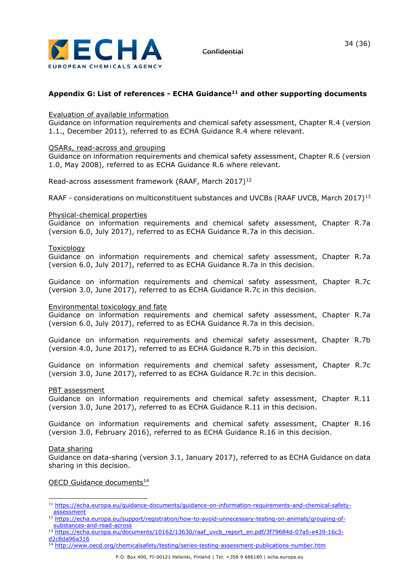

# **Appendix G: List of references - ECHA Guidance<sup>11</sup> and other supporting documents**

#### Evaluation of available information

Guidance on information requirements and chemical safety assessment, Chapter R.4 (version 1.1., December 2011), referred to as ECHA Guidance R.4 where relevant.

#### QSARs, read-across and grouping

Guidance on information requirements and chemical safety assessment, Chapter R.6 (version 1.0, May 2008), referred to as ECHA Guidance R.6 where relevant.

Read-across assessment framework (RAAF, March 2017)<sup>12</sup>

RAAF - considerations on multiconstituent substances and UVCBs (RAAF UVCB, March 2017)<sup>13</sup>

#### Physical-chemical properties

Guidance on information requirements and chemical safety assessment, Chapter R.7a (version 6.0, July 2017), referred to as ECHA Guidance R.7a in this decision.

#### Toxicology

Guidance on information requirements and chemical safety assessment, Chapter R.7a (version 6.0, July 2017), referred to as ECHA Guidance R.7a in this decision.

Guidance on information requirements and chemical safety assessment, Chapter R.7c (version 3.0, June 2017), referred to as ECHA Guidance R.7c in this decision.

#### Environmental toxicology and fate

Guidance on information requirements and chemical safety assessment, Chapter R.7a (version 6.0, July 2017), referred to as ECHA Guidance R.7a in this decision.

Guidance on information requirements and chemical safety assessment, Chapter R.7b (version 4.0, June 2017), referred to as ECHA Guidance R.7b in this decision.

Guidance on information requirements and chemical safety assessment, Chapter R.7c (version 3.0, June 2017), referred to as ECHA Guidance R.7c in this decision.

#### PBT assessment

Guidance on information requirements and chemical safety assessment, Chapter R.11 (version 3.0, June 2017), referred to as ECHA Guidance R.11 in this decision.

Guidance on information requirements and chemical safety assessment, Chapter R.16 (version 3.0, February 2016), referred to as ECHA Guidance R.16 in this decision.

#### Data sharing

Guidance on data-sharing (version 3.1, January 2017), referred to as ECHA Guidance on data sharing in this decision.

#### OECD Guidance documents<sup>14</sup>

12 [https://echa.europa.eu/support/registration/how-to-avoid-unnecessary-testing-on-animals/grouping-of](https://echa.europa.eu/support/registration/how-to-avoid-unnecessary-testing-on-animals/grouping-of-substances-and-read-across)[substances-and-read-across](https://echa.europa.eu/support/registration/how-to-avoid-unnecessary-testing-on-animals/grouping-of-substances-and-read-across)

<sup>14</sup> <http://www.oecd.org/chemicalsafety/testing/series-testing-assessment-publications-number.htm>

<sup>11</sup> [https://echa.europa.eu/guidance-documents/guidance-on-information-requirements-and-chemical-safety](https://echa.europa.eu/guidance-documents/guidance-on-information-requirements-and-chemical-safety-assessment)[assessment](https://echa.europa.eu/guidance-documents/guidance-on-information-requirements-and-chemical-safety-assessment)

<sup>&</sup>lt;sup>13</sup> [https://echa.europa.eu/documents/10162/13630/raaf\\_uvcb\\_report\\_en.pdf/3f79684d-07a5-e439-16c3](https://echa.europa.eu/documents/10162/13630/raaf_uvcb_report_en.pdf/3f79684d-07a5-e439-16c3-d2c8da96a316) [d2c8da96a316](https://echa.europa.eu/documents/10162/13630/raaf_uvcb_report_en.pdf/3f79684d-07a5-e439-16c3-d2c8da96a316)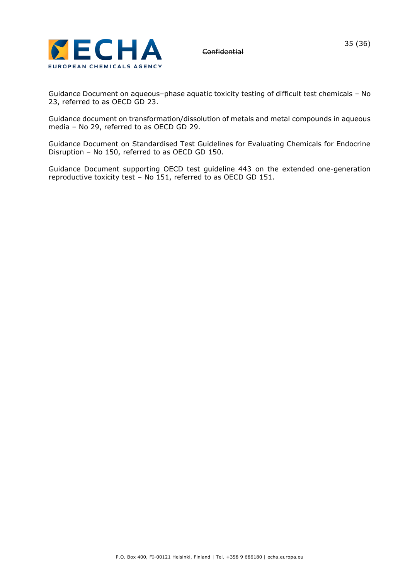

Guidance Document on aqueous–phase aquatic toxicity testing of difficult test chemicals – No 23, referred to as OECD GD 23.

Guidance document on transformation/dissolution of metals and metal compounds in aqueous media – No 29, referred to as OECD GD 29.

Guidance Document on Standardised Test Guidelines for Evaluating Chemicals for Endocrine Disruption – No 150, referred to as OECD GD 150.

Guidance Document supporting OECD test guideline 443 on the extended one-generation reproductive toxicity test – No 151, referred to as OECD GD 151.